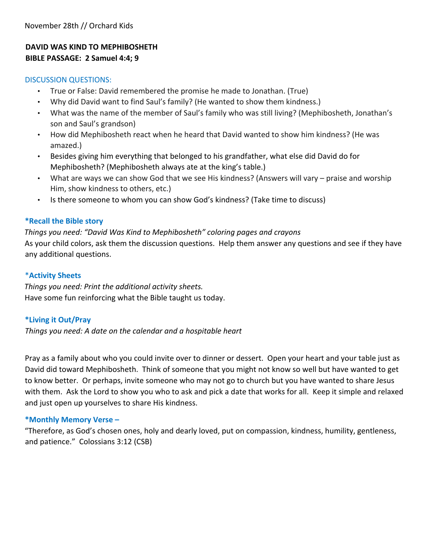### **DAVID WAS KIND TO MEPHIBOSHETH BIBLE PASSAGE: 2 Samuel 4:4; 9**

#### DISCUSSION QUESTIONS:

- True or False: David remembered the promise he made to Jonathan. (True)
- Why did David want to find Saul's family? (He wanted to show them kindness.)
- What was the name of the member of Saul's family who was still living? (Mephibosheth, Jonathan's son and Saul's grandson)
- How did Mephibosheth react when he heard that David wanted to show him kindness? (He was amazed.)
- Besides giving him everything that belonged to his grandfather, what else did David do for Mephibosheth? (Mephibosheth always ate at the king's table.)
- What are ways we can show God that we see His kindness? (Answers will vary praise and worship Him, show kindness to others, etc.)
- Is there someone to whom you can show God's kindness? (Take time to discuss)

#### **\*Recall the Bible story**

*Things you need: "David Was Kind to Mephibosheth" coloring pages and crayons*  As your child colors, ask them the discussion questions. Help them answer any questions and see if they have any additional questions.

#### \***Activity Sheets**

*Things you need: Print the additional activity sheets.*  Have some fun reinforcing what the Bible taught us today.

#### **\*Living it Out/Pray**

*Things you need: A date on the calendar and a hospitable heart*

Pray as a family about who you could invite over to dinner or dessert. Open your heart and your table just as David did toward Mephibosheth. Think of someone that you might not know so well but have wanted to get to know better. Or perhaps, invite someone who may not go to church but you have wanted to share Jesus with them. Ask the Lord to show you who to ask and pick a date that works for all. Keep it simple and relaxed and just open up yourselves to share His kindness.

#### **\*Monthly Memory Verse –**

"Therefore, as God's chosen ones, holy and dearly loved, put on compassion, kindness, humility, gentleness, and patience." Colossians 3:12 (CSB)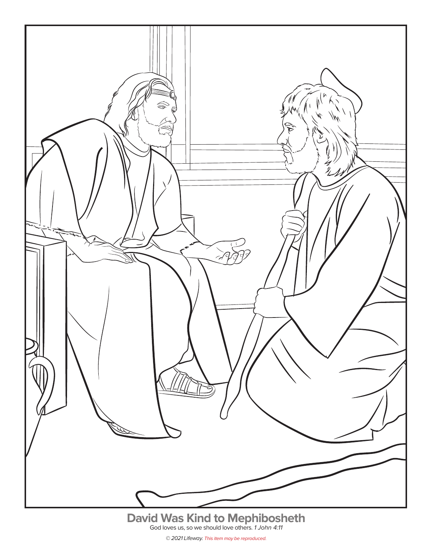

<sup>© 2021</sup> Lifeway. This item may be reproduced.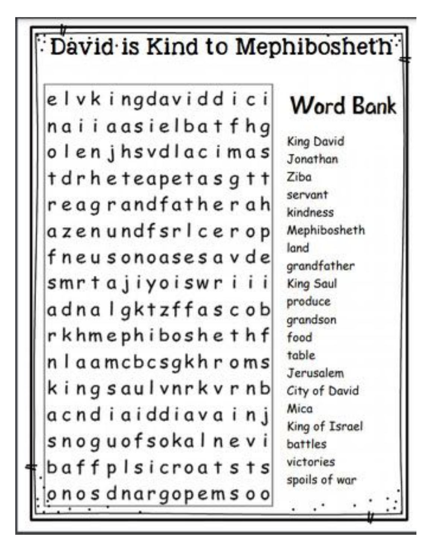## David is Kind to Mephibosheth

elvkingdaviddici naiiaasielbatfhg olenjhsvdlacimas tdrheteapetasgtt reagrandfatherah azenundfsricerop fneusonoasesavde smrtajiyoiswriii adnalgktzffascob rkhmephiboshethf n I aamcbcsgkh r oms kingsaulvnrkvrnb acndiaiddiavainj snoguofsokalnevi baffplsicroatsts onos dnargopems oo

# **Word Bank**

King David Jonathan Ziba servant kindness Mephibosheth land grandfather King Saul produce grandson food table Jerusalem City of David Mica King of Israel battles victories spoils of war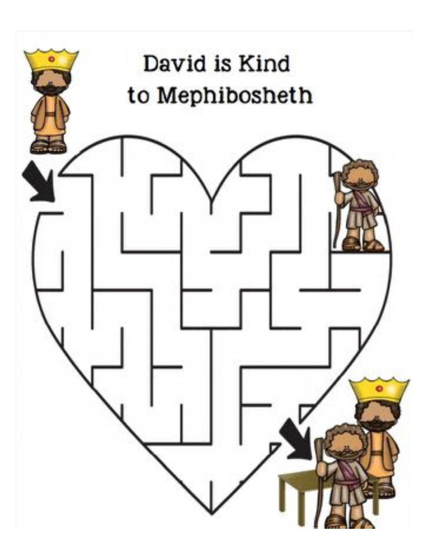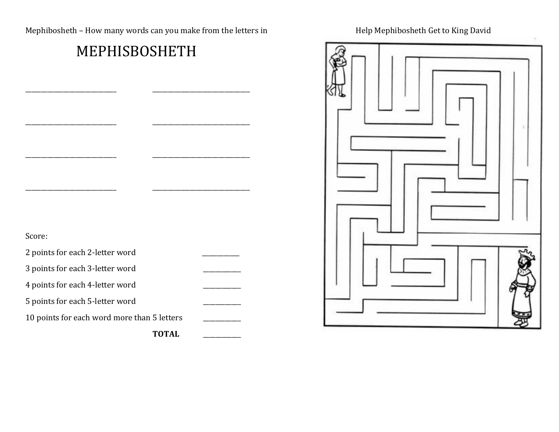Mephibosheth – How many words can you make from the letters in **Mephibosheth Geta and Mephibosheth** Get to King David

### MEPHISBOSHETH

\_\_\_\_\_\_\_\_\_\_\_\_\_\_\_\_\_\_\_\_\_\_\_\_\_\_\_\_\_ \_\_\_\_\_\_\_\_\_\_\_\_\_\_\_\_\_\_\_\_\_\_\_\_\_\_\_\_\_\_\_ 

\_\_\_\_\_\_\_\_\_\_\_\_\_\_\_\_\_\_\_\_\_\_\_\_\_\_\_\_\_ \_\_\_\_\_\_\_\_\_\_\_\_\_\_\_\_\_\_\_\_\_\_\_\_\_\_\_\_\_\_\_ 

\_\_\_\_\_\_\_\_\_\_\_\_\_\_\_\_\_\_\_\_\_\_\_\_\_\_\_\_\_ \_\_\_\_\_\_\_\_\_\_\_\_\_\_\_\_\_\_\_\_\_\_\_\_\_\_\_\_\_\_\_ 

\_\_\_\_\_\_\_\_\_\_\_\_\_\_\_\_\_\_\_\_\_\_\_\_\_\_\_\_\_ \_\_\_\_\_\_\_\_\_\_\_\_\_\_\_\_\_\_\_\_\_\_\_\_\_\_\_\_\_\_\_ 



| Score:                                      |  |
|---------------------------------------------|--|
| 2 points for each 2-letter word             |  |
| 3 points for each 3-letter word             |  |
| 4 points for each 4-letter word             |  |
| 5 points for each 5-letter word             |  |
| 10 points for each word more than 5 letters |  |
|                                             |  |

\_\_\_\_\_\_\_\_\_\_\_\_